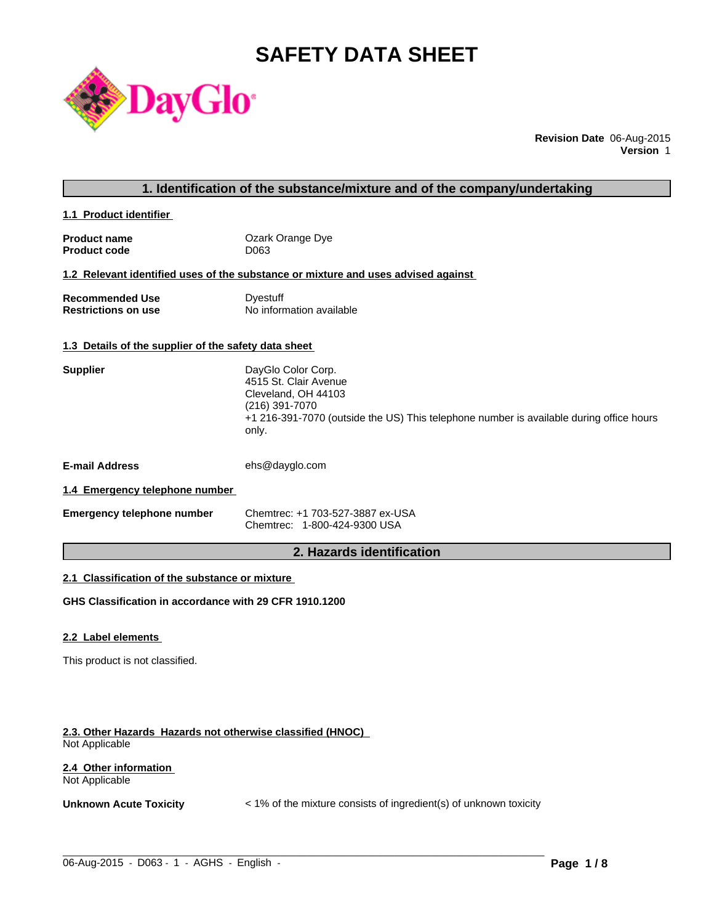# **SAFETY DATA SHEET**



**Revision Date** 06-Aug-2015 **Version** 1

# **1. Identification of the substance/mixture and of the company/undertaking**

**1.1 Product identifier** 

| <b>Product name</b> | Ozark Orange Dye |
|---------------------|------------------|
| <b>Product code</b> | D063             |

#### **1.2 Relevant identified uses of the substance or mixture and uses advised against**

**Recommended Use Commended Use Commended Use Comments** Dyestuff Restrictions on use **No information available** 

# **1.3 Details of the supplier of the safety data sheet**

| <b>Supplier</b>       | DayGlo Color Corp.<br>4515 St. Clair Avenue<br>Cleveland, OH 44103<br>(216) 391-7070<br>+1 216-391-7070 (outside the US) This telephone number is available during office hours<br>only. |
|-----------------------|------------------------------------------------------------------------------------------------------------------------------------------------------------------------------------------|
| <b>E-mail Address</b> | ehs@dayglo.com                                                                                                                                                                           |

# **1.4 Emergency telephone number**

| <b>Emergency telephone number</b> | Chemtrec: +1 703-527-3887 ex-USA |
|-----------------------------------|----------------------------------|
|                                   | Chemtrec: 1-800-424-9300 USA     |

# **2. Hazards identification**

# **2.1 Classification of the substance or mixture**

**GHS Classification in accordance with 29 CFR 1910.1200**

# **2.2 Label elements**

This product is not classified.

## **2.3. Other Hazards Hazards not otherwise classified (HNOC)**  Not Applicable

# **2.4 Other information**  Not Applicable

**Unknown Acute Toxicity**  $\lt$  1% of the mixture consists of ingredient(s) of unknown toxicity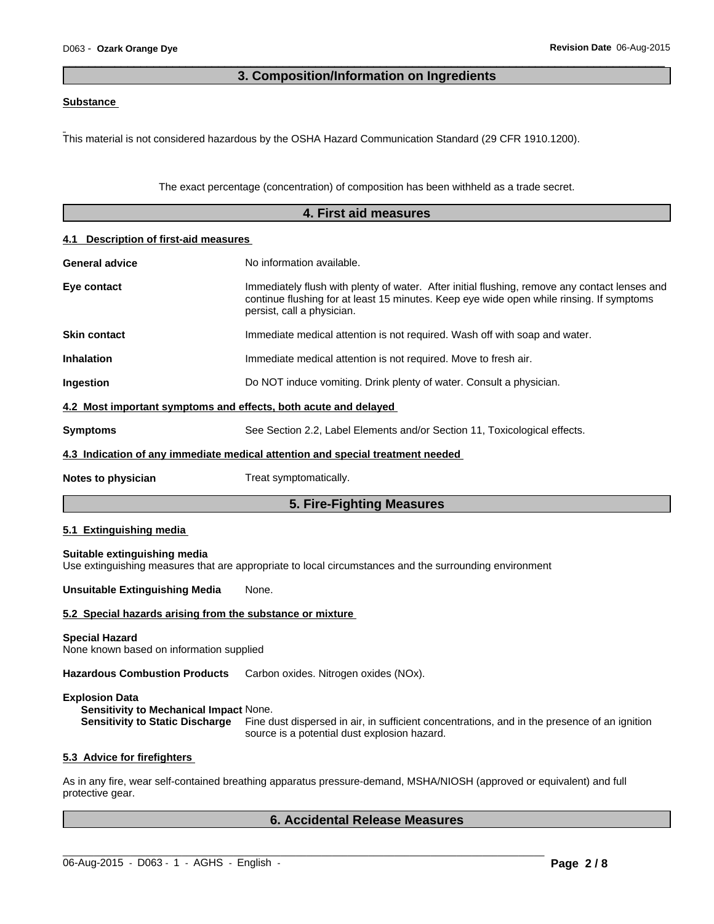# **3. Composition/Information on Ingredients**

 $\overline{\phantom{a}}$  ,  $\overline{\phantom{a}}$  ,  $\overline{\phantom{a}}$  ,  $\overline{\phantom{a}}$  ,  $\overline{\phantom{a}}$  ,  $\overline{\phantom{a}}$  ,  $\overline{\phantom{a}}$  ,  $\overline{\phantom{a}}$  ,  $\overline{\phantom{a}}$  ,  $\overline{\phantom{a}}$  ,  $\overline{\phantom{a}}$  ,  $\overline{\phantom{a}}$  ,  $\overline{\phantom{a}}$  ,  $\overline{\phantom{a}}$  ,  $\overline{\phantom{a}}$  ,  $\overline{\phantom{a}}$ 

# **Substance**

This material is not considered hazardous by the OSHA Hazard Communication Standard (29 CFR 1910.1200).

The exact percentage (concentration) of composition has been withheld as a trade secret.

|                                                                   | 4. First aid measures                                                                                                                                                                                                   |  |  |  |  |
|-------------------------------------------------------------------|-------------------------------------------------------------------------------------------------------------------------------------------------------------------------------------------------------------------------|--|--|--|--|
| 4.1 Description of first-aid measures                             |                                                                                                                                                                                                                         |  |  |  |  |
| <b>General advice</b>                                             | No information available.                                                                                                                                                                                               |  |  |  |  |
| Eye contact                                                       | Immediately flush with plenty of water. After initial flushing, remove any contact lenses and<br>continue flushing for at least 15 minutes. Keep eye wide open while rinsing. If symptoms<br>persist, call a physician. |  |  |  |  |
| <b>Skin contact</b>                                               | Immediate medical attention is not required. Wash off with soap and water.                                                                                                                                              |  |  |  |  |
| <b>Inhalation</b>                                                 | Immediate medical attention is not required. Move to fresh air.                                                                                                                                                         |  |  |  |  |
| Ingestion                                                         | Do NOT induce vomiting. Drink plenty of water. Consult a physician.                                                                                                                                                     |  |  |  |  |
| 4.2 Most important symptoms and effects, both acute and delayed   |                                                                                                                                                                                                                         |  |  |  |  |
| <b>Symptoms</b>                                                   | See Section 2.2, Label Elements and/or Section 11, Toxicological effects.                                                                                                                                               |  |  |  |  |
|                                                                   | 4.3 Indication of any immediate medical attention and special treatment needed                                                                                                                                          |  |  |  |  |
| Notes to physician                                                | Treat symptomatically.                                                                                                                                                                                                  |  |  |  |  |
|                                                                   | 5. Fire-Fighting Measures                                                                                                                                                                                               |  |  |  |  |
| 5.1 Extinguishing media                                           |                                                                                                                                                                                                                         |  |  |  |  |
| Suitable extinguishing media                                      | Use extinguishing measures that are appropriate to local circumstances and the surrounding environment                                                                                                                  |  |  |  |  |
| <b>Unsuitable Extinguishing Media</b>                             | None.                                                                                                                                                                                                                   |  |  |  |  |
| 5.2 Special hazards arising from the substance or mixture         |                                                                                                                                                                                                                         |  |  |  |  |
| <b>Special Hazard</b><br>None known based on information supplied |                                                                                                                                                                                                                         |  |  |  |  |
| <b>Hazardous Combustion Products</b>                              | Carbon oxides. Nitrogen oxides (NOx).                                                                                                                                                                                   |  |  |  |  |
| <b>Explosion Data</b><br>Sensitivity to Mechanical Impact None.   | Sensitivity to Static Discharge Fine dust dispersed in air, in sufficient concentrations, and in the presence of an ignition<br>source is a potential dust explosion hazard.                                            |  |  |  |  |
| 5.3 Advice for firefighters                                       |                                                                                                                                                                                                                         |  |  |  |  |
| protective gear.                                                  | As in any fire, wear self-contained breathing apparatus pressure-demand, MSHA/NIOSH (approved or equivalent) and full                                                                                                   |  |  |  |  |
|                                                                   | <b>6. Accidental Release Measures</b>                                                                                                                                                                                   |  |  |  |  |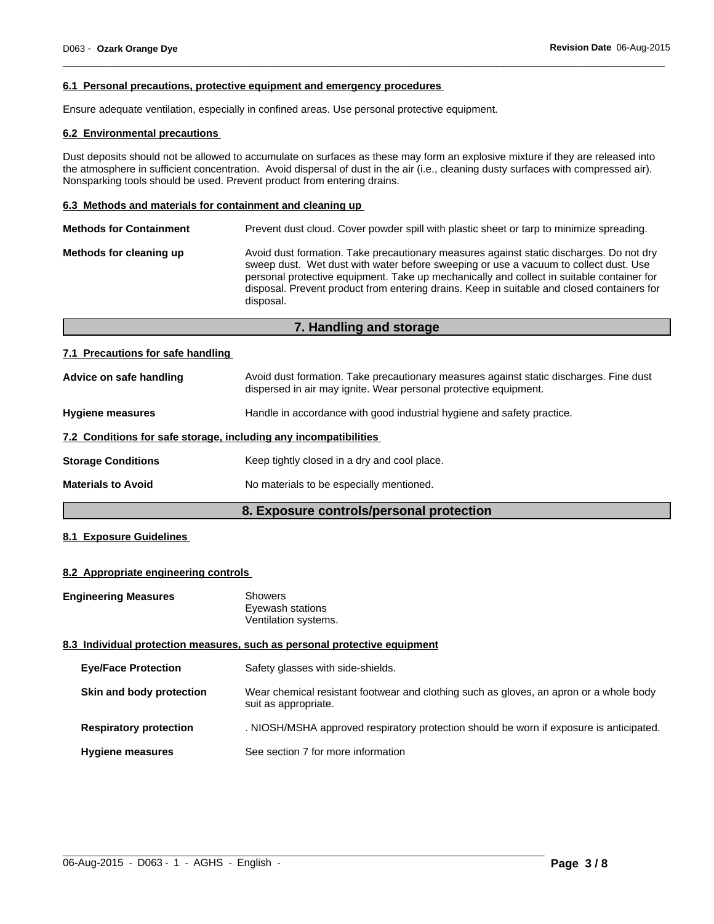## **6.1 Personal precautions, protective equipment and emergency procedures**

Ensure adequate ventilation, especially in confined areas. Use personal protective equipment.

## **6.2 Environmental precautions**

Dust deposits should not be allowed to accumulate on surfaces as these may form an explosive mixture if they are released into the atmosphere in sufficient concentration. Avoid dispersal of dust in the air (i.e., cleaning dusty surfaces with compressed air). Nonsparking tools should be used. Prevent product from entering drains.

 $\overline{\phantom{a}}$  ,  $\overline{\phantom{a}}$  ,  $\overline{\phantom{a}}$  ,  $\overline{\phantom{a}}$  ,  $\overline{\phantom{a}}$  ,  $\overline{\phantom{a}}$  ,  $\overline{\phantom{a}}$  ,  $\overline{\phantom{a}}$  ,  $\overline{\phantom{a}}$  ,  $\overline{\phantom{a}}$  ,  $\overline{\phantom{a}}$  ,  $\overline{\phantom{a}}$  ,  $\overline{\phantom{a}}$  ,  $\overline{\phantom{a}}$  ,  $\overline{\phantom{a}}$  ,  $\overline{\phantom{a}}$ 

# **6.3 Methods and materials for containment and cleaning up**

| Avoid dust formation. Take precautionary measures against static discharges. Do not dry<br>Methods for cleaning up<br>sweep dust. Wet dust with water before sweeping or use a vacuum to collect dust. Use<br>personal protective equipment. Take up mechanically and collect in suitable container for<br>disposal. Prevent product from entering drains. Keep in suitable and closed containers for<br>disposal. |  |
|--------------------------------------------------------------------------------------------------------------------------------------------------------------------------------------------------------------------------------------------------------------------------------------------------------------------------------------------------------------------------------------------------------------------|--|

# **7. Handling and storage**

#### **7.1 Precautions for safe handling**

|                           | 8. Exposure controls/personal protection                                                                                                                   |
|---------------------------|------------------------------------------------------------------------------------------------------------------------------------------------------------|
| <b>Materials to Avoid</b> | No materials to be especially mentioned.                                                                                                                   |
| <b>Storage Conditions</b> | Keep tightly closed in a dry and cool place.                                                                                                               |
|                           | 7.2 Conditions for safe storage, including any incompatibilities                                                                                           |
| <b>Hygiene measures</b>   | Handle in accordance with good industrial hygiene and safety practice.                                                                                     |
| Advice on safe handling   | Avoid dust formation. Take precautionary measures against static discharges. Fine dust<br>dispersed in air may ignite. Wear personal protective equipment. |

# **8.1 Exposure Guidelines**

# **8.2 Appropriate engineering controls**

| Showers              |
|----------------------|
| Eyewash stations     |
| Ventilation systems. |
|                      |

# **8.3 Individual protection measures, such as personal protective equipment**

| <b>Eye/Face Protection</b>    | Safety glasses with side-shields.                                                                              |
|-------------------------------|----------------------------------------------------------------------------------------------------------------|
| Skin and body protection      | Wear chemical resistant footwear and clothing such as gloves, an apron or a whole body<br>suit as appropriate. |
| <b>Respiratory protection</b> | . NIOSH/MSHA approved respiratory protection should be worn if exposure is anticipated.                        |
| <b>Hygiene measures</b>       | See section 7 for more information                                                                             |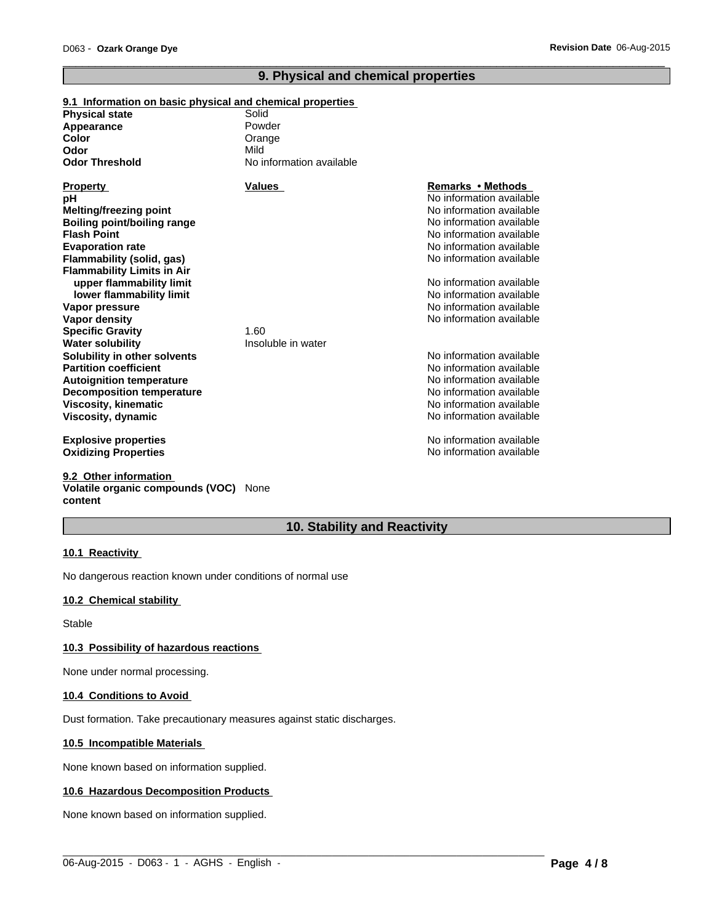# **9. Physical and chemical properties**

 $\overline{\phantom{a}}$  ,  $\overline{\phantom{a}}$  ,  $\overline{\phantom{a}}$  ,  $\overline{\phantom{a}}$  ,  $\overline{\phantom{a}}$  ,  $\overline{\phantom{a}}$  ,  $\overline{\phantom{a}}$  ,  $\overline{\phantom{a}}$  ,  $\overline{\phantom{a}}$  ,  $\overline{\phantom{a}}$  ,  $\overline{\phantom{a}}$  ,  $\overline{\phantom{a}}$  ,  $\overline{\phantom{a}}$  ,  $\overline{\phantom{a}}$  ,  $\overline{\phantom{a}}$  ,  $\overline{\phantom{a}}$ 

# **9.1 Information on basic physical and chemical properties**

| <b>Physical state</b>             | Solid                    |                          |
|-----------------------------------|--------------------------|--------------------------|
| Appearance                        | Powder                   |                          |
| Color                             | Orange                   |                          |
| Odor                              | Mild                     |                          |
| <b>Odor Threshold</b>             | No information available |                          |
| <b>Property</b>                   | <b>Values</b>            | Remarks • Methods        |
| рH                                |                          | No information available |
| <b>Melting/freezing point</b>     |                          | No information available |
| Boiling point/boiling range       |                          | No information available |
| <b>Flash Point</b>                |                          | No information available |
| <b>Evaporation rate</b>           |                          | No information available |
| Flammability (solid, gas)         |                          | No information available |
| <b>Flammability Limits in Air</b> |                          |                          |
| upper flammability limit          |                          | No information available |
| lower flammability limit          |                          | No information available |
| Vapor pressure                    |                          | No information available |
| Vapor density                     |                          | No information available |
| <b>Specific Gravity</b>           | 1.60                     |                          |
| <b>Water solubility</b>           | Insoluble in water       |                          |
| Solubility in other solvents      |                          | No information available |
| <b>Partition coefficient</b>      |                          | No information available |
| <b>Autoignition temperature</b>   |                          | No information available |
| <b>Decomposition temperature</b>  |                          | No information available |
| <b>Viscosity, kinematic</b>       |                          | No information available |
| Viscosity, dynamic                |                          | No information available |
| <b>Explosive properties</b>       |                          | No information available |
| <b>Oxidizing Properties</b>       |                          | No information available |

#### **9.2 Other information Volatile organic compounds (VOC)** None **content**

# **10. Stability and Reactivity**

 $\_$  ,  $\_$  ,  $\_$  ,  $\_$  ,  $\_$  ,  $\_$  ,  $\_$  ,  $\_$  ,  $\_$  ,  $\_$  ,  $\_$  ,  $\_$  ,  $\_$  ,  $\_$  ,  $\_$  ,  $\_$  ,  $\_$  ,  $\_$  ,  $\_$  ,  $\_$  ,  $\_$  ,  $\_$  ,  $\_$  ,  $\_$  ,  $\_$  ,  $\_$  ,  $\_$  ,  $\_$  ,  $\_$  ,  $\_$  ,  $\_$  ,  $\_$  ,  $\_$  ,  $\_$  ,  $\_$  ,  $\_$  ,  $\_$  ,

# **10.1 Reactivity**

No dangerous reaction known under conditions of normal use

# **10.2 Chemical stability**

Stable

# **10.3 Possibility of hazardous reactions**

None under normal processing.

#### **10.4 Conditions to Avoid**

Dust formation. Take precautionary measures against static discharges.

# **10.5 Incompatible Materials**

None known based on information supplied.

# **10.6 Hazardous Decomposition Products**

None known based on information supplied.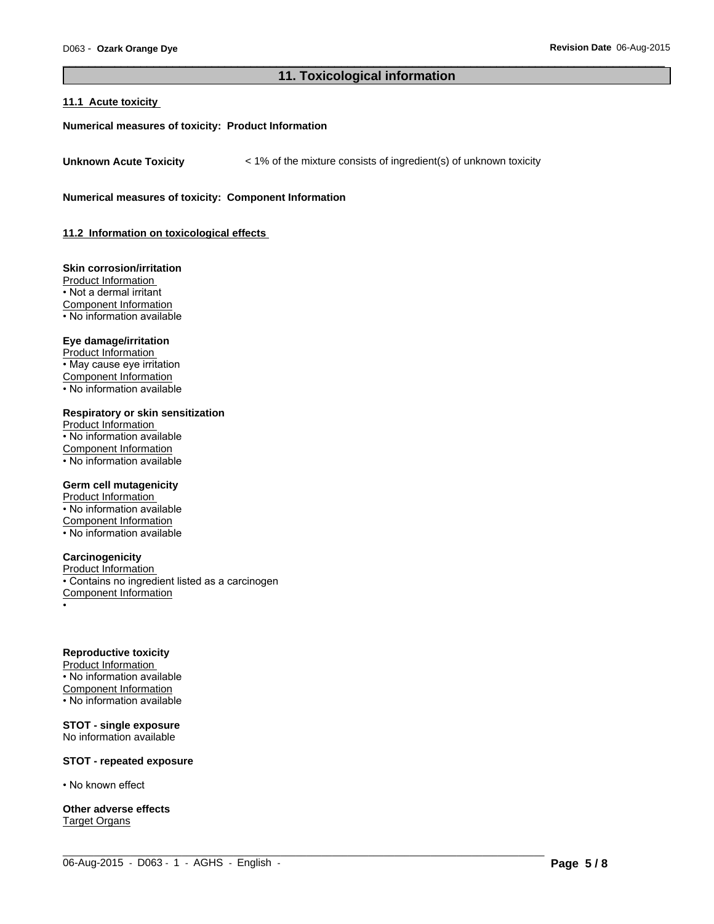# **11. Toxicological information**

 $\_$  ,  $\_$  ,  $\_$  ,  $\_$  ,  $\_$  ,  $\_$  ,  $\_$  ,  $\_$  ,  $\_$  ,  $\_$  ,  $\_$  ,  $\_$  ,  $\_$  ,  $\_$  ,  $\_$  ,  $\_$  ,  $\_$  ,  $\_$  ,  $\_$  ,  $\_$  ,  $\_$  ,  $\_$  ,  $\_$  ,  $\_$  ,  $\_$  ,  $\_$  ,  $\_$  ,  $\_$  ,  $\_$  ,  $\_$  ,  $\_$  ,  $\_$  ,  $\_$  ,  $\_$  ,  $\_$  ,  $\_$  ,  $\_$  ,

 $\overline{\phantom{a}}$  ,  $\overline{\phantom{a}}$  ,  $\overline{\phantom{a}}$  ,  $\overline{\phantom{a}}$  ,  $\overline{\phantom{a}}$  ,  $\overline{\phantom{a}}$  ,  $\overline{\phantom{a}}$  ,  $\overline{\phantom{a}}$  ,  $\overline{\phantom{a}}$  ,  $\overline{\phantom{a}}$  ,  $\overline{\phantom{a}}$  ,  $\overline{\phantom{a}}$  ,  $\overline{\phantom{a}}$  ,  $\overline{\phantom{a}}$  ,  $\overline{\phantom{a}}$  ,  $\overline{\phantom{a}}$ 

# **11.1 Acute toxicity**

#### **Numerical measures of toxicity: Product Information**

**Unknown Acute Toxicity**  $\lt$  1% of the mixture consists of ingredient(s) of unknown toxicity

**Numerical measures of toxicity: Component Information**

**11.2 Information on toxicological effects** 

**Skin corrosion/irritation** Product Information • Not a dermal irritant Component Information • No information available

#### **Eye damage/irritation**

Product Information • May cause eye irritation Component Information • No information available

**Respiratory or skin sensitization**

Product Information • No information available Component Information • No information available

## **Germ cell mutagenicity**

Product Information • No information available Component Information • No information available

# **Carcinogenicity**

Product Information • Contains no ingredient listed as a carcinogen Component Information •

# **Reproductive toxicity**

Product Information • No information available Component Information • No information available

#### **STOT - single exposure** No information available

# **STOT - repeated exposure**

• No known effect

**Other adverse effects** Target Organs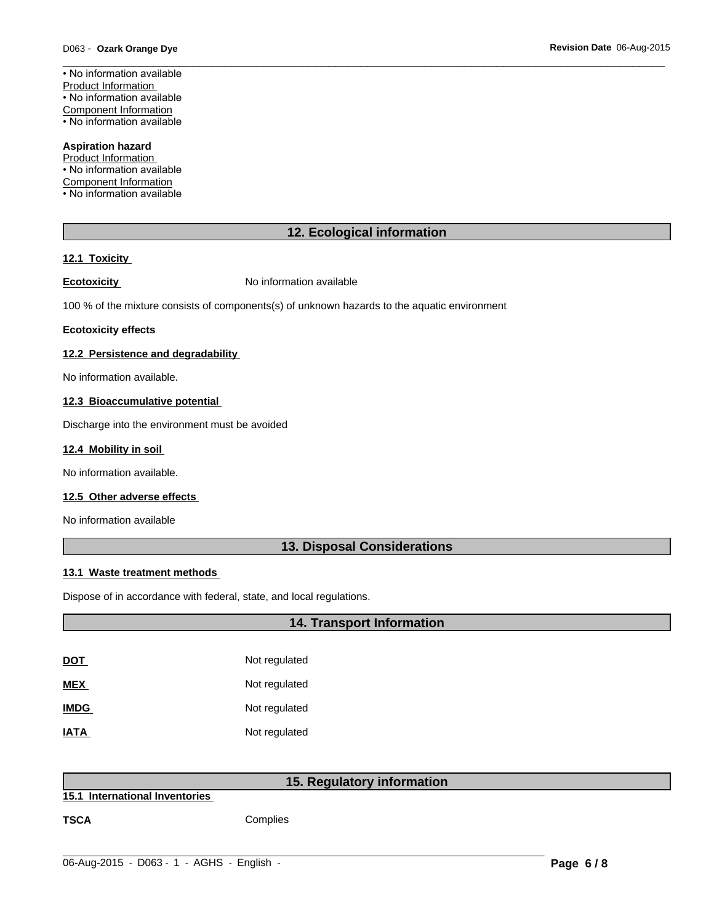$\overline{\phantom{a}}$  ,  $\overline{\phantom{a}}$  ,  $\overline{\phantom{a}}$  ,  $\overline{\phantom{a}}$  ,  $\overline{\phantom{a}}$  ,  $\overline{\phantom{a}}$  ,  $\overline{\phantom{a}}$  ,  $\overline{\phantom{a}}$  ,  $\overline{\phantom{a}}$  ,  $\overline{\phantom{a}}$  ,  $\overline{\phantom{a}}$  ,  $\overline{\phantom{a}}$  ,  $\overline{\phantom{a}}$  ,  $\overline{\phantom{a}}$  ,  $\overline{\phantom{a}}$  ,  $\overline{\phantom{a}}$ • No information available Product Information • No information available Component Information • No information available

**Aspiration hazard** Product Information • No information available Component Information • No information available

# **12. Ecological information**

# **12.1 Toxicity**

**Ecotoxicity No information available** 

100 % of the mixture consists of components(s) of unknown hazards to the aquatic environment

#### **Ecotoxicity effects**

# **12.2 Persistence and degradability**

No information available.

# **12.3 Bioaccumulative potential**

Discharge into the environment must be avoided

# **12.4 Mobility in soil**

No information available.

# **12.5 Other adverse effects**

No information available

# **13. Disposal Considerations**

# **13.1 Waste treatment methods**

Dispose of in accordance with federal, state, and local regulations.

|             | <b>14. Transport Information</b> |
|-------------|----------------------------------|
|             |                                  |
| <b>DOT</b>  | Not regulated                    |
| <b>MEX</b>  | Not regulated                    |
| <b>IMDG</b> | Not regulated                    |
| <b>IATA</b> | Not regulated                    |

# **15. Regulatory information**

 $\_$  ,  $\_$  ,  $\_$  ,  $\_$  ,  $\_$  ,  $\_$  ,  $\_$  ,  $\_$  ,  $\_$  ,  $\_$  ,  $\_$  ,  $\_$  ,  $\_$  ,  $\_$  ,  $\_$  ,  $\_$  ,  $\_$  ,  $\_$  ,  $\_$  ,  $\_$  ,  $\_$  ,  $\_$  ,  $\_$  ,  $\_$  ,  $\_$  ,  $\_$  ,  $\_$  ,  $\_$  ,  $\_$  ,  $\_$  ,  $\_$  ,  $\_$  ,  $\_$  ,  $\_$  ,  $\_$  ,  $\_$  ,  $\_$  ,

**15.1 International Inventories** 

**TSCA** Complies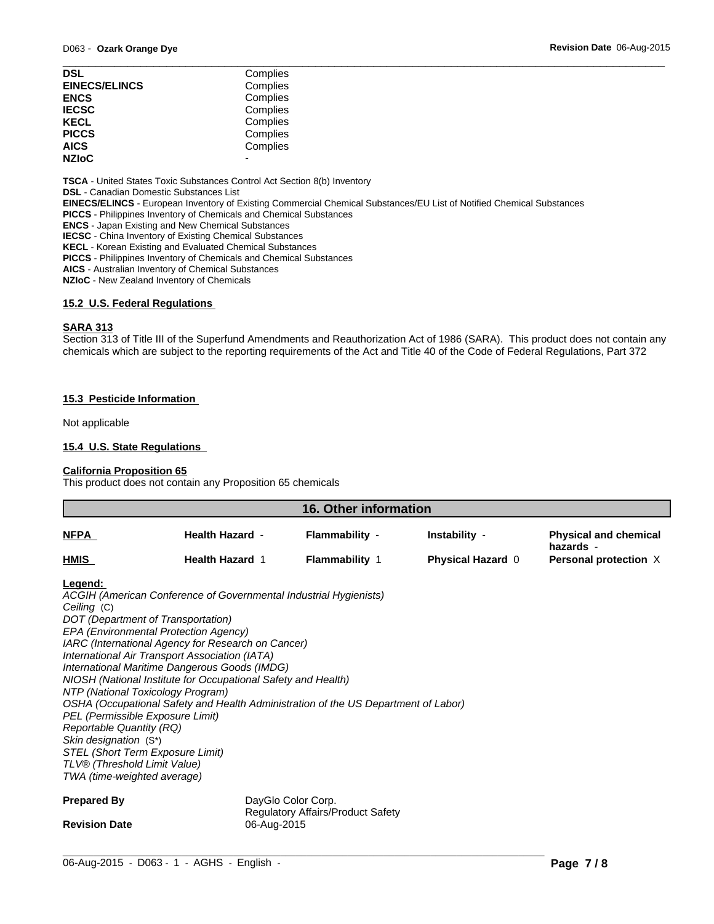| <b>DSL</b>           | Complies |  |
|----------------------|----------|--|
| <b>EINECS/ELINCS</b> | Complies |  |
| <b>ENCS</b>          | Complies |  |
| <b>IECSC</b>         | Complies |  |
| <b>KECL</b>          | Complies |  |
| <b>PICCS</b>         | Complies |  |
| <b>AICS</b>          | Complies |  |
| <b>NZIoC</b>         |          |  |
|                      |          |  |

**TSCA** - United States Toxic Substances Control Act Section 8(b) Inventory

**DSL** - Canadian Domestic Substances List

**EINECS/ELINCS** - European Inventory of Existing Commercial Chemical Substances/EU List of Notified Chemical Substances

**PICCS** - Philippines Inventory of Chemicals and Chemical Substances

**ENCS** - Japan Existing and New Chemical Substances

**IECSC** - China Inventory of Existing Chemical Substances

**KECL** - Korean Existing and Evaluated Chemical Substances

**PICCS** - Philippines Inventory of Chemicals and Chemical Substances

**AICS** - Australian Inventory of Chemical Substances

**NZIoC** - New Zealand Inventory of Chemicals

# **15.2 U.S. Federal Regulations**

#### **SARA 313**

Section 313 of Title III of the Superfund Amendments and Reauthorization Act of 1986 (SARA). This product does not contain any chemicals which are subject to the reporting requirements of the Act and Title 40 of the Code of Federal Regulations, Part 372

## **15.3 Pesticide Information**

Not applicable

# **15.4 U.S. State Regulations**

# **California Proposition 65**

This product does not contain any Proposition 65 chemicals

| <b>16. Other information</b>                                                                                                                                                                                                                                                                                                                                                                                                                                                                                                                                                                                                                                                                                                       |                    |                                          |                          |                                           |
|------------------------------------------------------------------------------------------------------------------------------------------------------------------------------------------------------------------------------------------------------------------------------------------------------------------------------------------------------------------------------------------------------------------------------------------------------------------------------------------------------------------------------------------------------------------------------------------------------------------------------------------------------------------------------------------------------------------------------------|--------------------|------------------------------------------|--------------------------|-------------------------------------------|
| <b>Health Hazard -</b><br><b>NFPA</b>                                                                                                                                                                                                                                                                                                                                                                                                                                                                                                                                                                                                                                                                                              |                    | Flammability -                           | Instability -            | <b>Physical and chemical</b><br>hazards - |
| <u>HMIS</u><br><b>Health Hazard 1</b>                                                                                                                                                                                                                                                                                                                                                                                                                                                                                                                                                                                                                                                                                              |                    | <b>Flammability 1</b>                    | <b>Physical Hazard 0</b> | Personal protection X                     |
| Legend:<br>ACGIH (American Conference of Governmental Industrial Hygienists)<br>Ceiling (C)<br>DOT (Department of Transportation)<br>EPA (Environmental Protection Agency)<br>IARC (International Agency for Research on Cancer)<br>International Air Transport Association (IATA)<br>International Maritime Dangerous Goods (IMDG)<br>NIOSH (National Institute for Occupational Safety and Health)<br>NTP (National Toxicology Program)<br>OSHA (Occupational Safety and Health Administration of the US Department of Labor)<br>PEL (Permissible Exposure Limit)<br>Reportable Quantity (RQ)<br>Skin designation (S*)<br><b>STEL (Short Term Exposure Limit)</b><br>TLV® (Threshold Limit Value)<br>TWA (time-weighted average) |                    |                                          |                          |                                           |
| <b>Prepared By</b>                                                                                                                                                                                                                                                                                                                                                                                                                                                                                                                                                                                                                                                                                                                 | DayGlo Color Corp. | <b>Regulatory Affairs/Product Safety</b> |                          |                                           |
| <b>Revision Date</b>                                                                                                                                                                                                                                                                                                                                                                                                                                                                                                                                                                                                                                                                                                               | 06-Aug-2015        |                                          |                          |                                           |